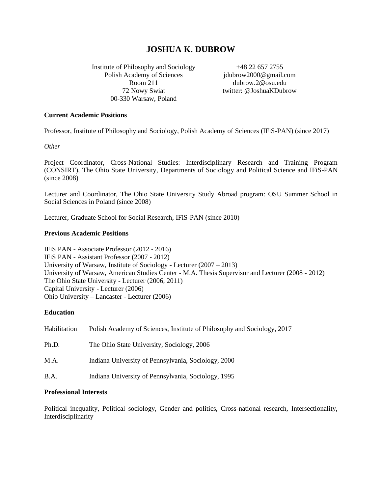# **JOSHUA K. DUBROW**

Institute of Philosophy and Sociology Polish Academy of Sciences Room 211 72 Nowy Swiat 00-330 Warsaw, Poland

+48 22 657 2755 jdubrow2000@gmail.com dubrow.2@osu.edu twitter: @JoshuaKDubrow

### **Current Academic Positions**

Professor, Institute of Philosophy and Sociology, Polish Academy of Sciences (IFiS-PAN) (since 2017)

*Other*

Project Coordinator, Cross-National Studies: Interdisciplinary Research and Training Program (CONSIRT), The Ohio State University, Departments of Sociology and Political Science and IFiS-PAN (since 2008)

Lecturer and Coordinator, The Ohio State University Study Abroad program: OSU Summer School in Social Sciences in Poland (since 2008)

Lecturer, Graduate School for Social Research, IFiS-PAN (since 2010)

### **Previous Academic Positions**

IFiS PAN - Associate Professor (2012 - 2016) IFiS PAN - Assistant Professor (2007 - 2012) University of Warsaw, Institute of Sociology - Lecturer  $(2007 - 2013)$ University of Warsaw, American Studies Center - M.A. Thesis Supervisor and Lecturer (2008 - 2012) The Ohio State University - Lecturer (2006, 2011) Capital University - Lecturer (2006) Ohio University – Lancaster - Lecturer (2006)

### **Education**

| Habilitation | Polish Academy of Sciences, Institute of Philosophy and Sociology, 2017 |
|--------------|-------------------------------------------------------------------------|
| Ph.D.        | The Ohio State University, Sociology, 2006                              |
| M.A.         | Indiana University of Pennsylvania, Sociology, 2000                     |
| B.A.         | Indiana University of Pennsylvania, Sociology, 1995                     |

### **Professional Interests**

Political inequality, Political sociology, Gender and politics, Cross-national research, Intersectionality, Interdisciplinarity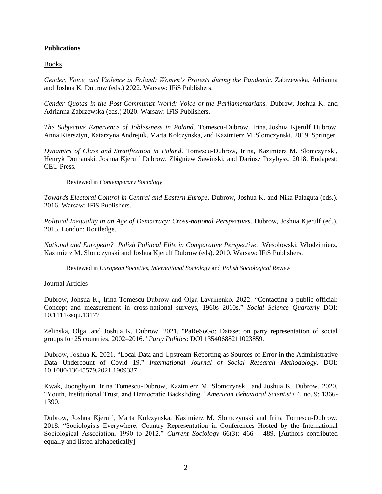# **Publications**

# Books

*Gender, Voice, and Violence in Poland: Women's Protests during the Pandemic*. Zabrzewska, Adrianna and Joshua K. Dubrow (eds.) 2022. Warsaw: IFiS Publishers.

*Gender Quotas in the Post-Communist World: Voice of the Parliamentarians.* Dubrow, Joshua K. and Adrianna Zabrzewska (eds.) 2020. Warsaw: IFiS Publishers.

*The Subjective Experience of Joblessness in Poland.* Tomescu-Dubrow, Irina, Joshua Kjerulf Dubrow, Anna Kiersztyn, Katarzyna Andrejuk, Marta Kolczynska, and Kazimierz M. Slomczynski. 2019. Springer.

*Dynamics of Class and Stratification in Poland*. Tomescu-Dubrow, Irina, Kazimierz M. Slomczynski, Henryk Domanski, Joshua Kjerulf Dubrow, Zbigniew Sawinski, and Dariusz Przybysz. 2018. Budapest: CEU Press.

### Reviewed in *Contemporary Sociology*

*Towards Electoral Control in Central and Eastern Europe*. Dubrow, Joshua K. and Nika Palaguta (eds.). 2016. Warsaw: IFiS Publishers.

*Political Inequality in an Age of Democracy: Cross-national Perspectives*. Dubrow, Joshua Kjerulf (ed.). 2015. London: Routledge.

*National and European? Polish Political Elite in Comparative Perspective*. Wesolowski, Wlodzimierz, Kazimierz M. Slomczynski and Joshua Kjerulf Dubrow (eds). 2010. Warsaw: IFiS Publishers.

Reviewed in *European Societies, International Sociology* and *Polish Sociological Review*

# Journal Articles

Dubrow, Johsua K., Irina Tomescu-Dubrow and Olga Lavrinenko. 2022. "Contacting a public official: Concept and measurement in cross-national surveys, 1960s–2010s." *Social Science Quarterly* DOI: 10.1111/ssqu.13177

Zelinska, Olga, and Joshua K. Dubrow. 2021. "PaReSoGo: Dataset on party representation of social groups for 25 countries, 2002–2016." *Party Politics*: DOI 13540688211023859.

Dubrow, Joshua K. 2021. "Local Data and Upstream Reporting as Sources of Error in the Administrative Data Undercount of Covid 19." *International Journal of Social Research Methodology*. DOI: 10.1080/13645579.2021.1909337

Kwak, Joonghyun, Irina Tomescu-Dubrow, Kazimierz M. Slomczynski, and Joshua K. Dubrow. 2020. "Youth, Institutional Trust, and Democratic Backsliding." *American Behavioral Scientist* 64, no. 9: 1366- 1390.

Dubrow, Joshua Kjerulf, Marta Kolczynska, Kazimierz M. Slomczynski and Irina Tomescu-Dubrow. 2018. "Sociologists Everywhere: Country Representation in Conferences Hosted by the International Sociological Association, 1990 to 2012." *Current Sociology* 66(3): 466 – 489. [Authors contributed equally and listed alphabetically]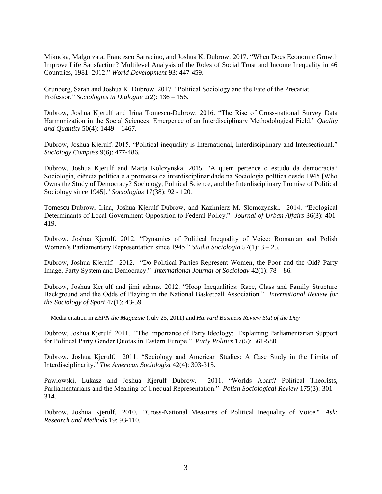Mikucka, Malgorzata, Francesco Sarracino, and Joshua K. Dubrow. 2017. "When Does Economic Growth Improve Life Satisfaction? Multilevel Analysis of the Roles of Social Trust and Income Inequality in 46 Countries, 1981–2012." *World Development* 93: 447-459.

Grunberg, Sarah and Joshua K. Dubrow. 2017. "Political Sociology and the Fate of the Precariat Professor." *Sociologies in Dialogue* 2(2): 136 – 156.

Dubrow, Joshua Kjerulf and Irina Tomescu-Dubrow. 2016. "The Rise of Cross-national Survey Data Harmonization in the Social Sciences: Emergence of an Interdisciplinary Methodological Field." *Quality and Quantity* 50(4): 1449 – 1467.

Dubrow, Joshua Kjerulf. 2015. "Political inequality is International, Interdisciplinary and Intersectional." *Sociology Compass* 9(6): 477-486.

Dubrow, Joshua Kjerulf and Marta Kolczynska. 2015. "A quem pertence o estudo da democracia? Sociologia, ciência política e a promessa da interdisciplinaridade na Sociologia política desde 1945 [Who Owns the Study of Democracy? Sociology, Political Science, and the Interdisciplinary Promise of Political Sociology since 1945]." *Sociologias* 17(38): 92 - 120.

Tomescu-Dubrow, Irina, Joshua Kjerulf Dubrow, and Kazimierz M. Slomczynski. 2014. "Ecological Determinants of Local Government Opposition to Federal Policy." *Journal of Urban Affairs* 36(3): 401- 419.

Dubrow, Joshua Kjerulf. 2012. "Dynamics of Political Inequality of Voice: Romanian and Polish Women's Parliamentary Representation since 1945." *Studia Sociologia* 57(1): 3 – 25.

Dubrow, Joshua Kjerulf. 2012. "Do Political Parties Represent Women, the Poor and the Old? Party Image, Party System and Democracy." *International Journal of Sociology* 42(1): 78 – 86.

Dubrow, Joshua Kerjulf and jimi adams. 2012. "Hoop Inequalities: Race, Class and Family Structure Background and the Odds of Playing in the National Basketball Association." *International Review for the Sociology of Sport* 47(1): 43-59.

Media citation in *ESPN the Magazine* (July 25, 2011) and *Harvard Business Review Stat of the Day*

Dubrow, Joshua Kjerulf. 2011. "The Importance of Party Ideology: Explaining Parliamentarian Support for Political Party Gender Quotas in Eastern Europe." *Party Politics* 17(5): 561-580.

Dubrow, Joshua Kjerulf. 2011. "Sociology and American Studies: A Case Study in the Limits of Interdisciplinarity." *The American Sociologist* 42(4): 303-315.

Pawlowski, Lukasz and Joshua Kjerulf Dubrow. 2011. "Worlds Apart? Political Theorists, Parliamentarians and the Meaning of Unequal Representation." *Polish Sociological Review* 175(3): 301 – 314.

Dubrow, Joshua Kjerulf. 2010. "Cross-National Measures of Political Inequality of Voice." *Ask: Research and Methods* 19: 93-110.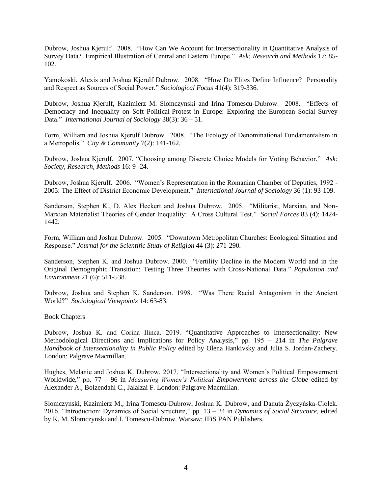Dubrow, Joshua Kjerulf. 2008. "How Can We Account for Intersectionality in Quantitative Analysis of Survey Data? Empirical Illustration of Central and Eastern Europe." *Ask: Research and Methods* 17: 85- 102.

Yamokoski, Alexis and Joshua Kjerulf Dubrow. 2008. "How Do Elites Define Influence? Personality and Respect as Sources of Social Power." *Sociological Focus* 41(4): 319-336.

Dubrow, Joshua Kjerulf, Kazimierz M. Slomczynski and Irina Tomescu-Dubrow. 2008. "Effects of Democracy and Inequality on Soft Political-Protest in Europe: Exploring the European Social Survey Data." *International Journal of Sociology* 38(3): 36 – 51.

Form, William and Joshua Kjerulf Dubrow. 2008. "The Ecology of Denominational Fundamentalism in a Metropolis." *City & Community* 7(2): 141-162.

Dubrow, Joshua Kjerulf. 2007. "Choosing among Discrete Choice Models for Voting Behavior." *Ask: Society, Research, Methods* 16: 9 -24.

Dubrow, Joshua Kjerulf. 2006. "Women's Representation in the Romanian Chamber of Deputies, 1992 - 2005: The Effect of District Economic Development." *International Journal of Sociology* 36 (1): 93-109.

Sanderson, Stephen K., D. Alex Heckert and Joshua Dubrow. 2005. "Militarist, Marxian, and Non-Marxian Materialist Theories of Gender Inequality: A Cross Cultural Test." *Social Forces* 83 (4): 1424- 1442.

Form, William and Joshua Dubrow. 2005. "Downtown Metropolitan Churches: Ecological Situation and Response." *Journal for the Scientific Study of Religion* 44 (3): 271-290.

Sanderson, Stephen K. and Joshua Dubrow. 2000. "Fertility Decline in the Modern World and in the Original Demographic Transition: Testing Three Theories with Cross-National Data." *Population and Environment* 21 (6): 511-538.

Dubrow, Joshua and Stephen K. Sanderson. 1998. "Was There Racial Antagonism in the Ancient World?" *Sociological Viewpoints* 14: 63-83.

### Book Chapters

Dubrow, Joshua K. and Corina Ilinca. 2019. "Quantitative Approaches to Intersectionality: New Methodological Directions and Implications for Policy Analysis," pp. 195 – 214 in *The Palgrave Handbook of Intersectionality in Public Policy* edited by Olena Hankivsky and Julia S. Jordan-Zachery. London: Palgrave Macmillan.

Hughes, Melanie and Joshua K. Dubrow. 2017. "Intersectionality and Women's Political Empowerment Worldwide," pp. 77 – 96 in *Measuring Women's Political Empowerment across the Globe* edited by Alexander A., Bolzendahl C., Jalalzai F. London: Palgrave Macmillan.

Slomczynski, Kazimierz M., Irina Tomescu-Dubrow, Joshua K. Dubrow, and Danuta Życzyńska-Ciołek. 2016. "Introduction: Dynamics of Social Structure," pp. 13 – 24 in *Dynamics of Social Structure*, edited by K. M. Slomczynski and I. Tomescu-Dubrow. Warsaw: IFiS PAN Publishers.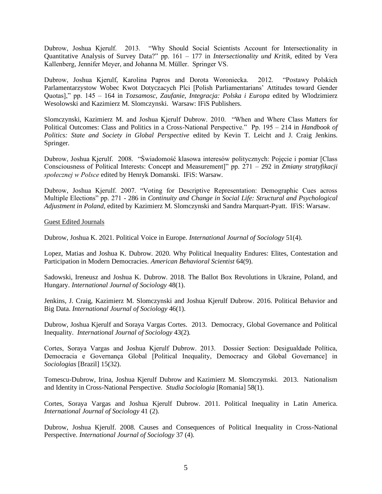Dubrow, Joshua Kjerulf. 2013. "Why Should Social Scientists Account for Intersectionality in Quantitative Analysis of Survey Data?" pp. 161 – 177 in *Intersectionality und Kritik*, edited by Vera Kallenberg, Jennifer Meyer, and Johanna M. Müller. Springer VS.

Dubrow, Joshua Kjerulf, Karolina Papros and Dorota Woroniecka. 2012. "Postawy Polskich Parlamentarzystow Wobec Kwot Dotyczacych Plci [Polish Parliamentarians' Attitudes toward Gender Quotas]," pp. 145 – 164 in *Tozsamosc, Zaufanie, Integracja: Polska i Europa* edited by Wlodzimierz Wesolowski and Kazimierz M. Slomczynski. Warsaw: IFiS Publishers.

Slomczynski, Kazimierz M. and Joshua Kjerulf Dubrow. 2010. "When and Where Class Matters for Political Outcomes: Class and Politics in a Cross-National Perspective." Pp. 195 – 214 in *Handbook of Politics: State and Society in Global Perspective* edited by Kevin T. Leicht and J. Craig Jenkins. Springer.

Dubrow, Joshua Kjerulf. 2008. "Świadomość klasowa interesów politycznych: Pojęcie i pomiar [Class Consciousness of Political Interests: Concept and Measurement]" pp. 271 – 292 in *Zmiany stratyfikacji społecznej w Polsce* edited by Henryk Domanski. IFiS: Warsaw.

Dubrow, Joshua Kjerulf. 2007. "Voting for Descriptive Representation: Demographic Cues across Multiple Elections" pp. 271 - 286 in *Continuity and Change in Social Life: Structural and Psychological Adjustment in Poland*, edited by Kazimierz M. Slomczynski and Sandra Marquart-Pyatt. IFiS: Warsaw.

Guest Edited Journals

Dubrow, Joshua K. 2021. Political Voice in Europe. *International Journal of Sociology* 51(4).

Lopez, Matias and Joshua K. Dubrow. 2020. Why Political Inequality Endures: Elites, Contestation and Participation in Modern Democracies. *American Behavioral Scientist* 64(9).

Sadowski, Ireneusz and Joshua K. Dubrow. 2018. The Ballot Box Revolutions in Ukraine, Poland, and Hungary. *International Journal of Sociology* 48(1).

Jenkins, J. Craig, Kazimierz M. Slomczynski and Joshua Kjerulf Dubrow. 2016. Political Behavior and Big Data. *International Journal of Sociology* 46(1).

Dubrow, Joshua Kjerulf and Soraya Vargas Cortes. 2013. Democracy, Global Governance and Political Inequality. *International Journal of Sociology* 43(2).

Cortes, Soraya Vargas and Joshua Kjerulf Dubrow. 2013. Dossier Section: Desigualdade Política, Democracia e Governança Global [Political Inequality, Democracy and Global Governance] in *Sociologias* [Brazil] 15(32).

Tomescu-Dubrow, Irina, Joshua Kjerulf Dubrow and Kazimierz M. Slomczymski. 2013. Nationalism and Identity in Cross-National Perspective. *Studia Sociologia* [Romania] 58(1).

Cortes, Soraya Vargas and Joshua Kjerulf Dubrow. 2011. Political Inequality in Latin America. *International Journal of Sociology* 41 (2).

Dubrow, Joshua Kjerulf. 2008. Causes and Consequences of Political Inequality in Cross-National Perspective. *International Journal of Sociology* 37 (4).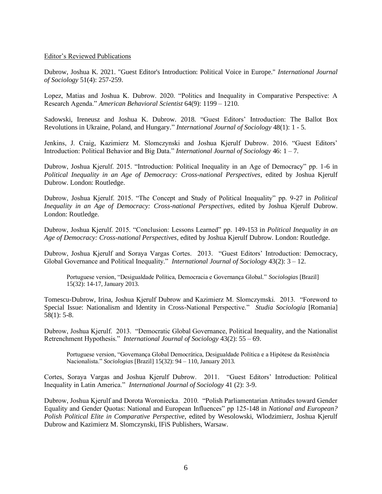### Editor's Reviewed Publications

Dubrow, Joshua K. 2021. "Guest Editor's Introduction: Political Voice in Europe." *International Journal of Sociology* 51(4): 257-259.

Lopez, Matias and Joshua K. Dubrow. 2020. "Politics and Inequality in Comparative Perspective: A Research Agenda." *American Behavioral Scientist* 64(9): 1199 – 1210.

Sadowski, Ireneusz and Joshua K. Dubrow. 2018. "Guest Editors' Introduction: The Ballot Box Revolutions in Ukraine, Poland, and Hungary." *International Journal of Sociology* 48(1): 1 - 5.

Jenkins, J. Craig, Kazimierz M. Slomczynski and Joshua Kjerulf Dubrow. 2016. "Guest Editors' Introduction: Political Behavior and Big Data." *International Journal of Sociology* 46: 1 – 7.

Dubrow, Joshua Kjerulf. 2015. "Introduction: Political Inequality in an Age of Democracy" pp. 1-6 in *Political Inequality in an Age of Democracy: Cross-national Perspectives*, edited by Joshua Kjerulf Dubrow. London: Routledge.

Dubrow, Joshua Kjerulf. 2015. "The Concept and Study of Political Inequality" pp. 9-27 in *Political Inequality in an Age of Democracy: Cross-national Perspectives*, edited by Joshua Kjerulf Dubrow. London: Routledge.

Dubrow, Joshua Kjerulf. 2015. "Conclusion: Lessons Learned" pp. 149-153 in *Political Inequality in an Age of Democracy: Cross-national Perspectives*, edited by Joshua Kjerulf Dubrow. London: Routledge.

Dubrow, Joshua Kjerulf and Soraya Vargas Cortes. 2013. "Guest Editors' Introduction: Democracy, Global Governance and Political Inequality." *International Journal of Sociology* 43(2): 3 – 12.

Portuguese version, "Desigualdade Política, Democracia e Governança Global." *Sociologias* [Brazil] 15(32): 14-17, January 2013.

Tomescu-Dubrow, Irina, Joshua Kjerulf Dubrow and Kazimierz M. Slomczymski. 2013. "Foreword to Special Issue: Nationalism and Identity in Cross-National Perspective." *Studia Sociologia* [Romania] 58(1): 5-8.

Dubrow, Joshua Kjerulf. 2013. "Democratic Global Governance, Political Inequality, and the Nationalist Retrenchment Hypothesis." *International Journal of Sociology* 43(2): 55 – 69.

Portuguese version, "Governança Global Democrática, Desigualdade Política e a Hipótese da Resistência Nacionalista." *Sociologias* [Brazil] 15(32): 94 – 110, January 2013.

Cortes, Soraya Vargas and Joshua Kjerulf Dubrow. 2011. "Guest Editors' Introduction: Political Inequality in Latin America." *International Journal of Sociology* 41 (2): 3-9.

Dubrow, Joshua Kjerulf and Dorota Woroniecka. 2010. "Polish Parliamentarian Attitudes toward Gender Equality and Gender Quotas: National and European Influences" pp 125-148 in *National and European? Polish Political Elite in Comparative Perspective*, edited by Wesolowski, Wlodzimierz, Joshua Kjerulf Dubrow and Kazimierz M. Slomczynski, IFiS Publishers, Warsaw.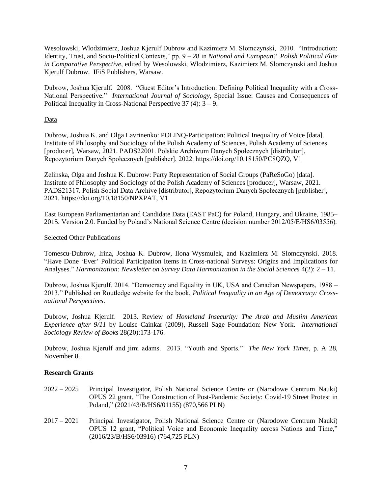Wesolowski, Wlodzimierz, Joshua Kjerulf Dubrow and Kazimierz M. Slomczynski, 2010. "Introduction: Identity, Trust, and Socio-Political Contexts," pp. 9 – 28 in *National and European? Polish Political Elite in Comparative Perspective*, edited by Wesolowski, Wlodzimierz, Kazimierz M. Slomczynski and Joshua Kjerulf Dubrow. IFiS Publishers, Warsaw.

Dubrow, Joshua Kjerulf. 2008. "Guest Editor's Introduction: Defining Political Inequality with a Cross-National Perspective." *International Journal of Sociology*, Special Issue: Causes and Consequences of Political Inequality in Cross-National Perspective  $37(4)$ :  $3-9$ .

# Data

Dubrow, Joshua K. and Olga Lavrinenko: POLINQ-Participation: Political Inequality of Voice [data]. Institute of Philosophy and Sociology of the Polish Academy of Sciences, Polish Academy of Sciences [producer], Warsaw, 2021. PADS22001. Polskie Archiwum Danych Społecznych [distributor], Repozytorium Danych Społecznych [publisher], 2022. https://doi.org/10.18150/PC8QZQ, V1

Zelinska, Olga and Joshua K. Dubrow: Party Representation of Social Groups (PaReSoGo) [data]. Institute of Philosophy and Sociology of the Polish Academy of Sciences [producer], Warsaw, 2021. PADS21317. Polish Social Data Archive [distributor], Repozytorium Danych Społecznych [publisher], 2021. https://doi.org/10.18150/NPXPAT, V1

East European Parliamentarian and Candidate Data (EAST PaC) for Poland, Hungary, and Ukraine, 1985– 2015. Version 2.0. Funded by Poland's National Science Centre (decision number 2012/05/E/HS6/03556).

### Selected Other Publications

Tomescu-Dubrow, Irina, Joshua K. Dubrow, Ilona Wysmulek, and Kazimierz M. Slomczynski. 2018. "Have Done 'Ever' Political Participation Items in Cross-national Surveys: Origins and Implications for Analyses." *Harmonization: Newsletter on Survey Data Harmonization in the Social Sciences* 4(2): 2 – 11.

Dubrow, Joshua Kjerulf. 2014. "Democracy and Equality in UK, USA and Canadian Newspapers, 1988 – 2013." Published on Routledge website for the book, *Political Inequality in an Age of Democracy: Crossnational Perspectives*.

Dubrow, Joshua Kjerulf. 2013. Review of *Homeland Insecurity: The Arab and Muslim American Experience after 9/11* by Louise Cainkar (2009), Russell Sage Foundation: New York. *International Sociology Review of Books* 28(20):173-176.

Dubrow, Joshua Kjerulf and jimi adams. 2013. "Youth and Sports." *The New York Times*, p. A 28, November 8.

# **Research Grants**

- 2022 2025 Principal Investigator, Polish National Science Centre or (Narodowe Centrum Nauki) OPUS 22 grant, "The Construction of Post-Pandemic Society: Covid-19 Street Protest in Poland," (2021/43/B/HS6/01155) (870,566 PLN)
- 2017 2021 Principal Investigator, Polish National Science Centre or (Narodowe Centrum Nauki) OPUS 12 grant, "Political Voice and Economic Inequality across Nations and Time," (2016/23/B/HS6/03916) (764,725 PLN)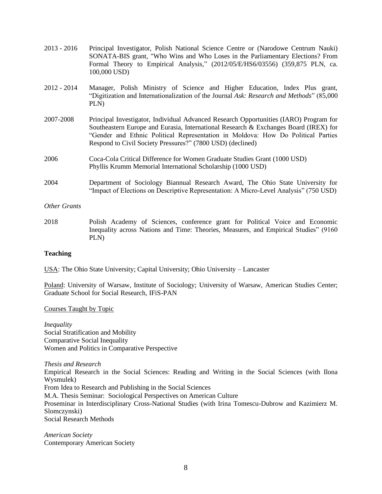| $2013 - 2016$       | Principal Investigator, Polish National Science Centre or (Narodowe Centrum Nauki)<br>SONATA-BIS grant, "Who Wins and Who Loses in the Parliamentary Elections? From<br>Formal Theory to Empirical Analysis," (2012/05/E/HS6/03556) (359,875 PLN, ca.<br>100,000 USD)                                                           |
|---------------------|---------------------------------------------------------------------------------------------------------------------------------------------------------------------------------------------------------------------------------------------------------------------------------------------------------------------------------|
| $2012 - 2014$       | Manager, Polish Ministry of Science and Higher Education, Index Plus grant,<br>"Digitization and Internationalization of the Journal Ask: Research and Methods" (85,000)<br>PLN)                                                                                                                                                |
| 2007-2008           | Principal Investigator, Individual Advanced Research Opportunities (IARO) Program for<br>Southeastern Europe and Eurasia, International Research & Exchanges Board (IREX) for<br>"Gender and Ethnic Political Representation in Moldova: How Do Political Parties<br>Respond to Civil Society Pressures?" (7800 USD) (declined) |
| 2006                | Coca-Cola Critical Difference for Women Graduate Studies Grant (1000 USD)<br>Phyllis Krumm Memorial International Scholarship (1000 USD)                                                                                                                                                                                        |
| 2004                | Department of Sociology Biannual Research Award, The Ohio State University for<br>"Impact of Elections on Descriptive Representation: A Micro-Level Analysis" (750 USD)                                                                                                                                                         |
| <b>Other Grants</b> |                                                                                                                                                                                                                                                                                                                                 |
| 2018                | Polish Academy of Sciences, conference grant for Political Voice and Economic<br>Inequality across Nations and Time: Theories, Measures, and Empirical Studies" (9160)                                                                                                                                                          |

# **Teaching**

USA: The Ohio State University; Capital University; Ohio University – Lancaster

Poland: University of Warsaw, Institute of Sociology; University of Warsaw, American Studies Center; Graduate School for Social Research, IFiS-PAN

Courses Taught by Topic

PLN)

*Inequality* Social Stratification and Mobility Comparative Social Inequality Women and Politics in Comparative Perspective

*Thesis and Research* Empirical Research in the Social Sciences: Reading and Writing in the Social Sciences (with Ilona Wysmulek) From Idea to Research and Publishing in the Social Sciences M.A. Thesis Seminar: Sociological Perspectives on American Culture Proseminar in Interdisciplinary Cross-National Studies (with Irina Tomescu-Dubrow and Kazimierz M. Slomczynski) Social Research Methods

*American Society* Contemporary American Society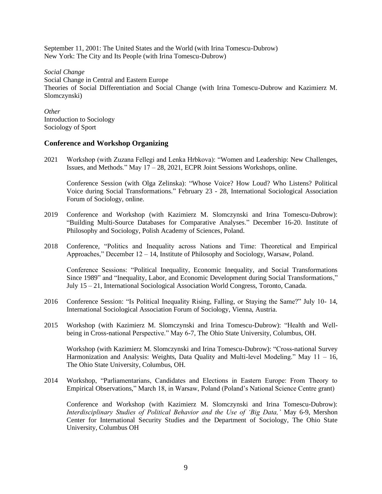September 11, 2001: The United States and the World (with Irina Tomescu-Dubrow) New York: The City and Its People (with Irina Tomescu-Dubrow)

*Social Change* Social Change in Central and Eastern Europe Theories of Social Differentiation and Social Change (with Irina Tomescu-Dubrow and Kazimierz M. Slomczynski)

*Other* Introduction to Sociology Sociology of Sport

# **Conference and Workshop Organizing**

2021 Workshop (with Zuzana Fellegi and Lenka Hrbkova): "Women and Leadership: New Challenges, Issues, and Methods." May 17 – 28, 2021, ECPR Joint Sessions Workshops, online.

Conference Session (with Olga Zelinska): "Whose Voice? How Loud? Who Listens? Political Voice during Social Transformations." February 23 - 28, International Sociological Association Forum of Sociology, online.

- 2019 Conference and Workshop (with Kazimierz M. Slomczynski and Irina Tomescu-Dubrow): "Building Multi-Source Databases for Comparative Analyses." December 16-20. Institute of Philosophy and Sociology, Polish Academy of Sciences, Poland.
- 2018 Conference, "Politics and Inequality across Nations and Time: Theoretical and Empirical Approaches," December  $12 - 14$ , Institute of Philosophy and Sociology, Warsaw, Poland.

Conference Sessions: "Political Inequality, Economic Inequality, and Social Transformations Since 1989" and "Inequality, Labor, and Economic Development during Social Transformations," July 15 – 21, International Sociological Association World Congress, Toronto, Canada.

- 2016 Conference Session: "Is Political Inequality Rising, Falling, or Staying the Same?" July 10- 14, International Sociological Association Forum of Sociology, Vienna, Austria.
- 2015 Workshop (with Kazimierz M. Slomczynski and Irina Tomescu-Dubrow): "Health and Wellbeing in Cross-national Perspective." May 6-7, The Ohio State University, Columbus, OH.

Workshop (with Kazimierz M. Slomczynski and Irina Tomescu-Dubrow): "Cross-national Survey Harmonization and Analysis: Weights, Data Quality and Multi-level Modeling." May 11 - 16, The Ohio State University, Columbus, OH.

2014 Workshop, "Parliamentarians, Candidates and Elections in Eastern Europe: From Theory to Empirical Observations," March 18, in Warsaw, Poland (Poland's National Science Centre grant)

Conference and Workshop (with Kazimierz M. Slomczynski and Irina Tomescu-Dubrow): *Interdisciplinary Studies of Political Behavior and the Use of 'Big Data,'* May 6-9, Mershon Center for International Security Studies and the Department of Sociology, The Ohio State University, Columbus OH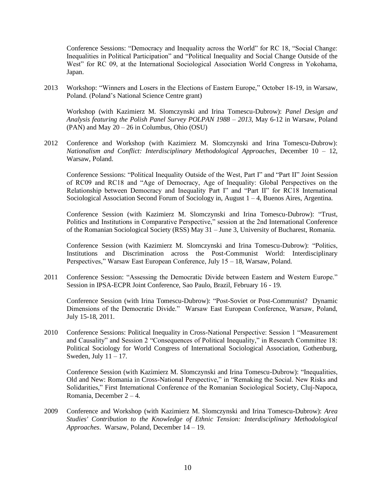Conference Sessions: "Democracy and Inequality across the World" for RC 18, "Social Change: Inequalities in Political Participation" and "Political Inequality and Social Change Outside of the West" for RC 09, at the International Sociological Association World Congress in Yokohama, Japan.

2013 Workshop: "Winners and Losers in the Elections of Eastern Europe," October 18-19, in Warsaw, Poland. (Poland's National Science Centre grant)

Workshop (with Kazimierz M. Slomczynski and Irina Tomescu-Dubrow): *Panel Design and Analysis featuring the Polish Panel Survey POLPAN 1988 – 2013*, May 6-12 in Warsaw, Poland (PAN) and May 20 – 26 in Columbus, Ohio (OSU)

2012 Conference and Workshop (with Kazimierz M. Slomczynski and Irina Tomescu-Dubrow): *Nationalism and Conflict: Interdisciplinary Methodological Approaches*, December 10 – 12, Warsaw, Poland.

Conference Sessions: "Political Inequality Outside of the West, Part I" and "Part II" Joint Session of RC09 and RC18 and "Age of Democracy, Age of Inequality: Global Perspectives on the Relationship between Democracy and Inequality Part I" and "Part II" for RC18 International Sociological Association Second Forum of Sociology in, August 1 – 4, Buenos Aires, Argentina.

Conference Session (with Kazimierz M. Slomczynski and Irina Tomescu-Dubrow): "Trust, Politics and Institutions in Comparative Perspective," session at the 2nd International Conference of the Romanian Sociological Society (RSS) May 31 – June 3, University of Bucharest, Romania.

Conference Session (with Kazimierz M. Slomczynski and Irina Tomescu-Dubrow): "Politics, Institutions and Discrimination across the Post-Communist World: Interdisciplinary Perspectives," Warsaw East European Conference, July 15 – 18, Warsaw, Poland.

2011 Conference Session: "Assessing the Democratic Divide between Eastern and Western Europe." Session in IPSA-ECPR Joint Conference, Sao Paulo, Brazil, February 16 - 19.

Conference Session (with Irina Tomescu-Dubrow): "Post-Soviet or Post-Communist? Dynamic Dimensions of the Democratic Divide." Warsaw East European Conference, Warsaw, Poland, July 15-18, 2011.

2010 Conference Sessions: Political Inequality in Cross-National Perspective: Session 1 "Measurement and Causality" and Session 2 "Consequences of Political Inequality," in Research Committee 18: Political Sociology for World Congress of International Sociological Association, Gothenburg, Sweden, July  $11 - 17$ .

Conference Session (with Kazimierz M. Slomczynski and Irina Tomescu-Dubrow): "Inequalities, Old and New: Romania in Cross-National Perspective," in "Remaking the Social. New Risks and Solidarities," First International Conference of the Romanian Sociological Society, Cluj-Napoca, Romania, December 2 – 4.

2009 Conference and Workshop (with Kazimierz M. Slomczynski and Irina Tomescu-Dubrow): *Area Studies' Contribution to the Knowledge of Ethnic Tension: Interdisciplinary Methodological Approaches*. Warsaw, Poland, December 14 – 19.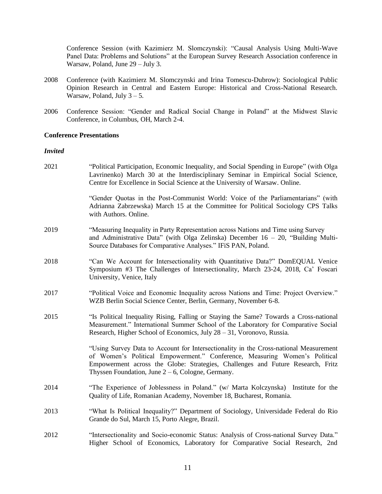Conference Session (with Kazimierz M. Slomczynski): "Causal Analysis Using Multi-Wave Panel Data: Problems and Solutions" at the European Survey Research Association conference in Warsaw, Poland, June 29 – July 3.

- 2008 Conference (with Kazimierz M. Slomczynski and Irina Tomescu-Dubrow): Sociological Public Opinion Research in Central and Eastern Europe: Historical and Cross-National Research. Warsaw, Poland, July  $3 - 5$ .
- 2006 Conference Session: "Gender and Radical Social Change in Poland" at the Midwest Slavic Conference, in Columbus, OH, March 2-4.

### **Conference Presentations**

### *Invited*

| 2021 | "Political Participation, Economic Inequality, and Social Spending in Europe" (with Olga<br>Lavrinenko) March 30 at the Interdisciplinary Seminar in Empirical Social Science,<br>Centre for Excellence in Social Science at the University of Warsaw. Online.                                               |
|------|--------------------------------------------------------------------------------------------------------------------------------------------------------------------------------------------------------------------------------------------------------------------------------------------------------------|
|      | "Gender Quotas in the Post-Communist World: Voice of the Parliamentarians" (with<br>Adrianna Zabrzewska) March 15 at the Committee for Political Sociology CPS Talks<br>with Authors. Online.                                                                                                                |
| 2019 | "Measuring Inequality in Party Representation across Nations and Time using Survey<br>and Administrative Data" (with Olga Zelinska) December $16 - 20$ , "Building Multi-<br>Source Databases for Comparative Analyses." IFiS PAN, Poland.                                                                   |
| 2018 | "Can We Account for Intersectionality with Quantitative Data?" DomEQUAL Venice<br>Symposium #3 The Challenges of Intersectionality, March 23-24, 2018, Ca' Foscari<br>University, Venice, Italy                                                                                                              |
| 2017 | "Political Voice and Economic Inequality across Nations and Time: Project Overview."<br>WZB Berlin Social Science Center, Berlin, Germany, November 6-8.                                                                                                                                                     |
| 2015 | "Is Political Inequality Rising, Falling or Staying the Same? Towards a Cross-national<br>Measurement." International Summer School of the Laboratory for Comparative Social<br>Research, Higher School of Economics, July 28 - 31, Voronovo, Russia.                                                        |
|      | "Using Survey Data to Account for Intersectionality in the Cross-national Measurement<br>of Women's Political Empowerment." Conference, Measuring Women's Political<br>Empowerment across the Globe: Strategies, Challenges and Future Research, Fritz<br>Thyssen Foundation, June $2-6$ , Cologne, Germany. |
| 2014 | "The Experience of Joblessness in Poland." (w/ Marta Kolczynska) Institute for the<br>Quality of Life, Romanian Academy, November 18, Bucharest, Romania.                                                                                                                                                    |
| 2013 | "What Is Political Inequality?" Department of Sociology, Universidade Federal do Rio<br>Grande do Sul, March 15, Porto Alegre, Brazil.                                                                                                                                                                       |
| 2012 | "Intersectionality and Socio-economic Status: Analysis of Cross-national Survey Data."<br>Higher School of Economics, Laboratory for Comparative Social Research, 2nd                                                                                                                                        |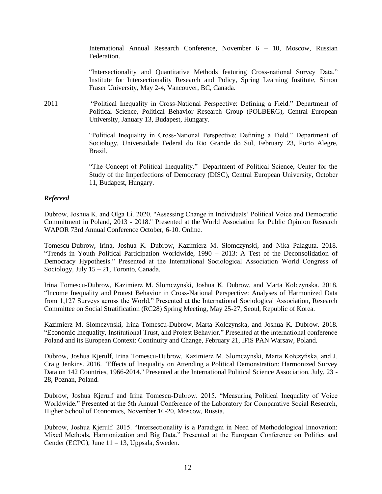International Annual Research Conference, November 6 – 10, Moscow, Russian Federation.

"Intersectionality and Quantitative Methods featuring Cross-national Survey Data." Institute for Intersectionality Research and Policy, Spring Learning Institute, Simon Fraser University, May 2-4, Vancouver, BC, Canada.

2011 "Political Inequality in Cross-National Perspective: Defining a Field." Department of Political Science, Political Behavior Research Group (POLBERG), Central European University, January 13, Budapest, Hungary.

> "Political Inequality in Cross-National Perspective: Defining a Field." Department of Sociology, Universidade Federal do Rio Grande do Sul, February 23, Porto Alegre, Brazil.

> "The Concept of Political Inequality." Department of Political Science, Center for the Study of the Imperfections of Democracy (DISC), Central European University, October 11, Budapest, Hungary.

### *Refereed*

Dubrow, Joshua K. and Olga Li. 2020. "Assessing Change in Individuals' Political Voice and Democratic Commitment in Poland, 2013 - 2018." Presented at the World Association for Public Opinion Research WAPOR 73rd Annual Conference October, 6-10. Online.

Tomescu-Dubrow, Irina, Joshua K. Dubrow, Kazimierz M. Slomczynski, and Nika Palaguta. 2018. "Trends in Youth Political Participation Worldwide, 1990 – 2013: A Test of the Deconsolidation of Democracy Hypothesis." Presented at the International Sociological Association World Congress of Sociology, July 15 – 21, Toronto, Canada.

Irina Tomescu-Dubrow, Kazimierz M. Slomczynski, Joshua K. Dubrow, and Marta Kolczynska. 2018. "Income Inequality and Protest Behavior in Cross-National Perspective: Analyses of Harmonized Data from 1,127 Surveys across the World." Presented at the International Sociological Association, Research Committee on Social Stratification (RC28) Spring Meeting, May 25-27, Seoul, Republic of Korea.

Kazimierz M. Slomczynski, Irina Tomescu-Dubrow, Marta Kolczynska, and Joshua K. Dubrow. 2018. "Economic Inequality, Institutional Trust, and Protest Behavior." Presented at the international conference Poland and its European Context: Continuity and Change, February 21, IFiS PAN Warsaw, Poland.

Dubrow, Joshua Kjerulf, Irina Tomescu-Dubrow, Kazimierz M. Slomczynski, Marta Kołczyńska, and J. Craig Jenkins. 2016. "Effects of Inequality on Attending a Political Demonstration: Harmonized Survey Data on 142 Countries, 1966-2014." Presented at the International Political Science Association, July, 23 - 28, Poznan, Poland.

Dubrow, Joshua Kjerulf and Irina Tomescu-Dubrow. 2015. "Measuring Political Inequality of Voice Worldwide." Presented at the 5th Annual Conference of the Laboratory for Comparative Social Research, Higher School of Economics, November 16-20, Moscow, Russia.

Dubrow, Joshua Kjerulf. 2015. "Intersectionality is a Paradigm in Need of Methodological Innovation: Mixed Methods, Harmonization and Big Data." Presented at the European Conference on Politics and Gender (ECPG), June 11 – 13, Uppsala, Sweden.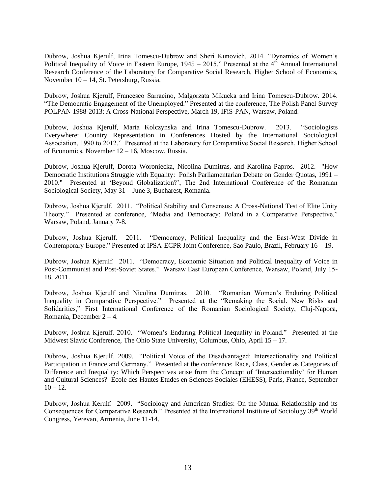Dubrow, Joshua Kjerulf, Irina Tomescu-Dubrow and Sheri Kunovich. 2014. "Dynamics of Women's Political Inequality of Voice in Eastern Europe,  $1945 - 2015$ ." Presented at the 4<sup>th</sup> Annual International Research Conference of the Laboratory for Comparative Social Research, Higher School of Economics, November 10 – 14, St. Petersburg, Russia.

Dubrow, Joshua Kjerulf, Francesco Sarracino, Małgorzata Mikucka and Irina Tomescu-Dubrow. 2014. "The Democratic Engagement of the Unemployed." Presented at the conference, The Polish Panel Survey POLPAN 1988-2013: A Cross-National Perspective, March 19, IFiS-PAN, Warsaw, Poland.

Dubrow, Joshua Kjerulf, Marta Kolczynska and Irina Tomescu-Dubrow. 2013. "Sociologists Everywhere: Country Representation in Conferences Hosted by the International Sociological Association, 1990 to 2012." Presented at the Laboratory for Comparative Social Research, Higher School of Economics, November 12 – 16, Moscow, Russia.

Dubrow, Joshua Kjerulf, Dorota Woroniecka, Nicolina Dumitras, and Karolina Papros. 2012. "How Democratic Institutions Struggle with Equality: Polish Parliamentarian Debate on Gender Quotas, 1991 – 2010." Presented at 'Beyond Globalization?', The 2nd International Conference of the Romanian Sociological Society, May 31 – June 3, Bucharest, Romania.

Dubrow, Joshua Kjerulf. 2011. "Political Stability and Consensus: A Cross-National Test of Elite Unity Theory." Presented at conference, "Media and Democracy: Poland in a Comparative Perspective," Warsaw, Poland, January 7-8.

Dubrow, Joshua Kjerulf. 2011. "Democracy, Political Inequality and the East-West Divide in Contemporary Europe." Presented at IPSA-ECPR Joint Conference, Sao Paulo, Brazil, February 16 – 19.

Dubrow, Joshua Kjerulf. 2011. "Democracy, Economic Situation and Political Inequality of Voice in Post-Communist and Post-Soviet States." Warsaw East European Conference, Warsaw, Poland, July 15- 18, 2011.

Dubrow, Joshua Kjerulf and Nicolina Dumitras. 2010. "Romanian Women's Enduring Political Inequality in Comparative Perspective." Presented at the "Remaking the Social. New Risks and Solidarities," First International Conference of the Romanian Sociological Society, Cluj-Napoca, Romania, December 2 – 4.

Dubrow, Joshua Kjerulf. 2010. "Women's Enduring Political Inequality in Poland." Presented at the Midwest Slavic Conference, The Ohio State University, Columbus, Ohio, April 15 – 17.

Dubrow, Joshua Kjerulf. 2009. "Political Voice of the Disadvantaged: Intersectionality and Political Participation in France and Germany." Presented at the conference: Race, Class, Gender as Categories of Difference and Inequality: Which Perspectives arise from the Concept of 'Intersectionality' for Human and Cultural Sciences? Ecole des Hautes Etudes en Sciences Sociales (EHESS), Paris, France, September  $10 - 12$ .

Dubrow, Joshua Kerulf. 2009. "Sociology and American Studies: On the Mutual Relationship and its Consequences for Comparative Research." Presented at the International Institute of Sociology 39<sup>th</sup> World Congress, Yerevan, Armenia, June 11-14.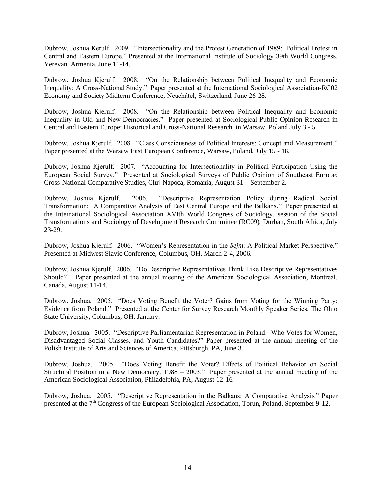Dubrow, Joshua Kerulf. 2009. "Intersectionality and the Protest Generation of 1989: Political Protest in Central and Eastern Europe." Presented at the International Institute of Sociology 39th World Congress, Yerevan, Armenia, June 11-14.

Dubrow, Joshua Kjerulf. 2008. "On the Relationship between Political Inequality and Economic Inequality: A Cross-National Study." Paper presented at the International Sociological Association-RC02 Economy and Society Midterm Conference, Neuchâtel, Switzerland, June 26-28.

Dubrow, Joshua Kjerulf. 2008. "On the Relationship between Political Inequality and Economic Inequality in Old and New Democracies." Paper presented at Sociological Public Opinion Research in Central and Eastern Europe: Historical and Cross-National Research, in Warsaw, Poland July 3 - 5.

Dubrow, Joshua Kjerulf. 2008. "Class Consciousness of Political Interests: Concept and Measurement." Paper presented at the Warsaw East European Conference, Warsaw, Poland, July 15 - 18.

Dubrow, Joshua Kjerulf. 2007. "Accounting for Intersectionality in Political Participation Using the European Social Survey." Presented at Sociological Surveys of Public Opinion of Southeast Europe: Cross-National Comparative Studies, Cluj-Napoca, Romania, August 31 – September 2.

Dubrow, Joshua Kjerulf. 2006. "Descriptive Representation Policy during Radical Social Transformation: A Comparative Analysis of East Central Europe and the Balkans." Paper presented at the International Sociological Association XVIth World Congress of Sociology, session of the Social Transformations and Sociology of Development Research Committee (RC09), Durban, South Africa, July 23-29.

Dubrow, Joshua Kjerulf. 2006. "Women's Representation in the *Sejm*: A Political Market Perspective." Presented at Midwest Slavic Conference, Columbus, OH, March 2-4, 2006.

Dubrow, Joshua Kjerulf. 2006. "Do Descriptive Representatives Think Like Descriptive Representatives Should?" Paper presented at the annual meeting of the American Sociological Association, Montreal, Canada, August 11-14.

Dubrow, Joshua. 2005. "Does Voting Benefit the Voter? Gains from Voting for the Winning Party: Evidence from Poland." Presented at the Center for Survey Research Monthly Speaker Series, The Ohio State University, Columbus, OH. January.

Dubrow, Joshua. 2005. "Descriptive Parliamentarian Representation in Poland: Who Votes for Women, Disadvantaged Social Classes, and Youth Candidates?" Paper presented at the annual meeting of the Polish Institute of Arts and Sciences of America, Pittsburgh, PA, June 3.

Dubrow, Joshua. 2005. "Does Voting Benefit the Voter? Effects of Political Behavior on Social Structural Position in a New Democracy, 1988 – 2003." Paper presented at the annual meeting of the American Sociological Association, Philadelphia, PA, August 12-16.

Dubrow, Joshua. 2005. "Descriptive Representation in the Balkans: A Comparative Analysis." Paper presented at the 7<sup>th</sup> Congress of the European Sociological Association, Torun, Poland, September 9-12.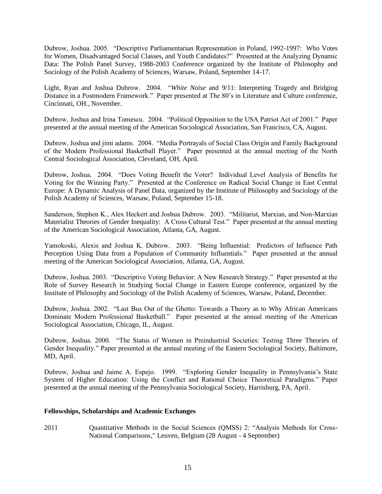Dubrow, Joshua. 2005. "Descriptive Parliamentarian Representation in Poland, 1992-1997: Who Votes for Women, Disadvantaged Social Classes, and Youth Candidates?" Presented at the Analyzing Dynamic Data: The Polish Panel Survey, 1988-2003 Conference organized by the Institute of Philosophy and Sociology of the Polish Academy of Sciences, Warsaw, Poland, September 14-17.

Light, Ryan and Joshua Dubrow. 2004. "*White Noise* and 9/11: Interpreting Tragedy and Bridging Distance in a Postmodern Framework." Paper presented at The 80's in Literature and Culture conference, Cincinnati, OH., November.

Dubrow, Joshua and Irina Tomescu. 2004. "Political Opposition to the USA Patriot Act of 2001." Paper presented at the annual meeting of the American Sociological Association, San Francisco, CA, August.

Dubrow, Joshua and jimi adams. 2004. "Media Portrayals of Social Class Origin and Family Background of the Modern Professional Basketball Player." Paper presented at the annual meeting of the North Central Sociological Association, Cleveland, OH, April.

Dubrow, Joshua. 2004. "Does Voting Benefit the Voter? Individual Level Analysis of Benefits for Voting for the Winning Party." Presented at the Conference on Radical Social Change in East Central Europe: A Dynamic Analysis of Panel Data, organized by the Institute of Philosophy and Sociology of the Polish Academy of Sciences, Warsaw, Poland, September 15-18.

Sanderson, Stephen K., Alex Heckert and Joshua Dubrow. 2003. "Militarist, Marxian, and Non-Marxian Materialist Theories of Gender Inequality: A Cross Cultural Test." Paper presented at the annual meeting of the American Sociological Association, Atlanta, GA, August.

Yamokoski, Alexis and Joshua K. Dubrow. 2003. "Being Influential: Predictors of Influence Path Perception Using Data from a Population of Community Influentials." Paper presented at the annual meeting of the American Sociological Association, Atlanta, GA, August.

Dubrow, Joshua. 2003. "Descriptive Voting Behavior: A New Research Strategy." Paper presented at the Role of Survey Research in Studying Social Change in Eastern Europe conference, organized by the Institute of Philosophy and Sociology of the Polish Academy of Sciences, Warsaw, Poland, December.

Dubrow, Joshua. 2002. "Last Bus Out of the Ghetto: Towards a Theory as to Why African Americans Dominate Modern Professional Basketball." Paper presented at the annual meeting of the American Sociological Association, Chicago, IL, August.

Dubrow, Joshua. 2000. "The Status of Women in Preindustrial Societies: Testing Three Theories of Gender Inequality." Paper presented at the annual meeting of the Eastern Sociological Society, Baltimore, MD, April.

Dubrow, Joshua and Jaime A. Espejo. 1999. "Exploring Gender Inequality in Pennsylvania's State System of Higher Education: Using the Conflict and Rational Choice Theoretical Paradigms." Paper presented at the annual meeting of the Pennsylvania Sociological Society, Harrisburg, PA, April.

# **Fellowships, Scholarships and Academic Exchanges**

2011 Cuantitative Methods in the Social Sciences (OMSS) 2: "Analysis Methods for Cross-National Comparisons," Leuven, Belgium (28 August - 4 September)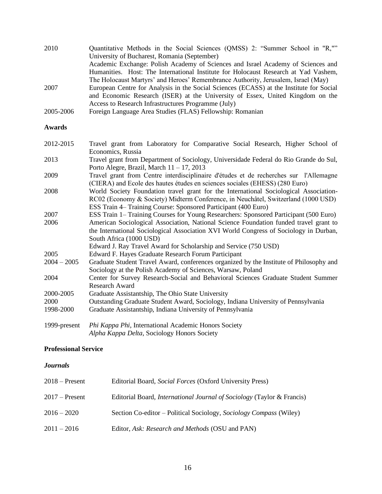| 2010      | Quantitative Methods in the Social Sciences (QMSS) 2: "Summer School in "R,""           |
|-----------|-----------------------------------------------------------------------------------------|
|           | University of Bucharest, Romania (September)                                            |
|           | Academic Exchange: Polish Academy of Sciences and Israel Academy of Sciences and        |
|           | Humanities. Host: The International Institute for Holocaust Research at Yad Vashem,     |
|           | The Holocaust Martyrs' and Heroes' Remembrance Authority, Jerusalem, Israel (May)       |
| 2007      | European Centre for Analysis in the Social Sciences (ECASS) at the Institute for Social |
|           | and Economic Research (ISER) at the University of Essex, United Kingdom on the          |
|           | Access to Research Infrastructures Programme (July)                                     |
| 2005-2006 | Foreign Language Area Studies (FLAS) Fellowship: Romanian                               |

### **Awards**

2012-2015 Travel grant from Laboratory for Comparative Social Research, Higher School of Economics, Russia

2013 Travel grant from Department of Sociology, Universidade Federal do Rio Grande do Sul, Porto Alegre, Brazil, March 11 – 17, 2013

- 2009 Travel grant from Centre interdisciplinaire d'études et de recherches sur l'Allemagne (CIERA) and Ecole des hautes études en sciences sociales (EHESS) (280 Euro)
- 2008 World Society Foundation travel grant for the International Sociological Association-RC02 (Economy & Society) Midterm Conference, in Neuchâtel, Switzerland (1000 USD) ESS Train 4– Training Course: Sponsored Participant (400 Euro)
- 2007 ESS Train 1– Training Courses for Young Researchers: Sponsored Participant (500 Euro)
- 2006 American Sociological Association, National Science Foundation funded travel grant to the International Sociological Association XVI World Congress of Sociology in Durban, South Africa (1000 USD)
	- Edward J. Ray Travel Award for Scholarship and Service (750 USD)
- 2005 Edward F. Hayes Graduate Research Forum Participant
- 2004 2005 Graduate Student Travel Award, conferences organized by the Institute of Philosophy and Sociology at the Polish Academy of Sciences, Warsaw, Poland
- 2004 Center for Survey Research-Social and Behavioral Sciences Graduate Student Summer Research Award
- 2000-2005 Graduate Assistantship, The Ohio State University
- 2000 Outstanding Graduate Student Award, Sociology, Indiana University of Pennsylvania
- 1998-2000 Graduate Assistantship, Indiana University of Pennsylvania
- 1999-present *Phi Kappa Phi*, International Academic Honors Society *Alpha Kappa Delta*, Sociology Honors Society

### **Professional Service**

### *Journals*

| $2018 -$ Present | Editorial Board, Social Forces (Oxford University Press)                      |
|------------------|-------------------------------------------------------------------------------|
| $2017 -$ Present | Editorial Board, <i>International Journal of Sociology</i> (Taylor & Francis) |
| $2016 - 2020$    | Section Co-editor – Political Sociology, Sociology Compass (Wiley)            |
| $2011 - 2016$    | Editor, Ask: Research and Methods (OSU and PAN)                               |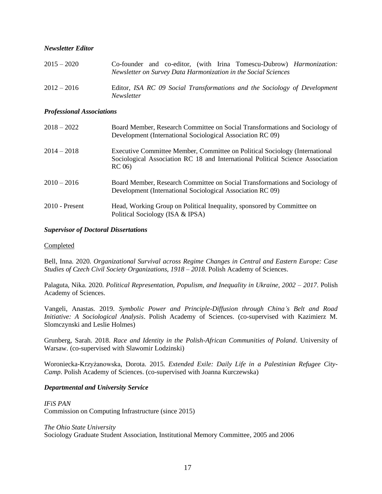# *Newsletter Editor*

| $2015 - 2020$ |                   |  | Co-founder and co-editor, (with Irina Tomescu-Dubrow) <i>Harmonization:</i> |  |
|---------------|-------------------|--|-----------------------------------------------------------------------------|--|
|               |                   |  | Newsletter on Survey Data Harmonization in the Social Sciences              |  |
| $2012 - 2016$ | <i>Newsletter</i> |  | Editor, ISA RC 09 Social Transformations and the Sociology of Development   |  |

### *Professional Associations*

| $2018 - 2022$    | Board Member, Research Committee on Social Transformations and Sociology of<br>Development (International Sociological Association RC 09)                               |
|------------------|-------------------------------------------------------------------------------------------------------------------------------------------------------------------------|
| $2014 - 2018$    | Executive Committee Member, Committee on Political Sociology (International<br>Sociological Association RC 18 and International Political Science Association<br>RC(06) |
| $2010 - 2016$    | Board Member, Research Committee on Social Transformations and Sociology of<br>Development (International Sociological Association RC 09)                               |
| $2010$ - Present | Head, Working Group on Political Inequality, sponsored by Committee on<br>Political Sociology (ISA & IPSA)                                                              |

### *Supervisor of Doctoral Dissertations*

### **Completed**

Bell, Inna. 2020. *Organizational Survival across Regime Changes in Central and Eastern Europe: Case Studies of Czech Civil Society Organizations, 1918 – 2018*. Polish Academy of Sciences.

Palaguta, Nika. 2020. *Political Representation, Populism, and Inequality in Ukraine, 2002 – 2017*. Polish Academy of Sciences.

Vangeli, Anastas. 2019. *Symbolic Power and Principle-Diffusion through China's Belt and Road Initiative: A Sociological Analysis*. Polish Academy of Sciences. (co-supervised with Kazimierz M. Slomczynski and Leslie Holmes)

Grunberg, Sarah. 2018. *Race and Identity in the Polish-African Communities of Poland*. University of Warsaw. (co-supervised with Slawomir Lodzinski)

Woroniecka-Krzyżanowska, Dorota. 2015. *Extended Exile: Daily Life in a Palestinian Refugee City-Camp*. Polish Academy of Sciences. (co-supervised with Joanna Kurczewska)

# *Departmental and University Service*

*IFiS PAN* Commission on Computing Infrastructure (since 2015)

### *The Ohio State University*

Sociology Graduate Student Association, Institutional Memory Committee, 2005 and 2006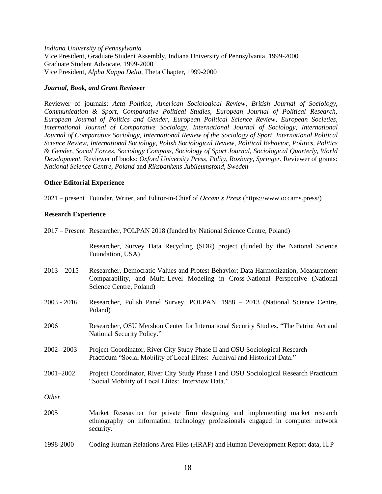*Indiana University of Pennsylvania* Vice President, Graduate Student Assembly, Indiana University of Pennsylvania, 1999-2000 Graduate Student Advocate, 1999-2000 Vice President, *Alpha Kappa Delta*, Theta Chapter, 1999-2000

### *Journal, Book, and Grant Reviewer*

Reviewer of journals: *Acta Politica, American Sociological Review*, *British Journal of Sociology, Communication & Sport, Comparative Political Studies, European Journal of Political Research, European Journal of Politics and Gender, European Political Science Review, European Societies, International Journal of Comparative Sociology, International Journal of Sociology, International Journal of Comparative Sociology, International Review of the Sociology of Sport, International Political Science Review, International Sociology, Polish Sociological Review, Political Behavior, Politics, Politics & Gender, Social Forces, Sociology Compass, Sociology of Sport Journal, Sociological Quarterly, World Development.* Reviewer of books: *Oxford University Press, Polity*, *Roxbury, Springer.* Reviewer of grants: *National Science Centre, Poland* and *Riksbankens Jubileumsfond, Sweden*

### **Other Editorial Experience**

2021 – present Founder, Writer, and Editor-in-Chief of *Occam's Press* (https://www.occams.press/)

# **Research Experience**

|               | 2017 – Present Researcher, POLPAN 2018 (funded by National Science Centre, Poland)                                                                                                                |
|---------------|---------------------------------------------------------------------------------------------------------------------------------------------------------------------------------------------------|
|               | Researcher, Survey Data Recycling (SDR) project (funded by the National Science<br>Foundation, USA)                                                                                               |
| $2013 - 2015$ | Researcher, Democratic Values and Protest Behavior: Data Harmonization, Measurement<br>Comparability, and Multi-Level Modeling in Cross-National Perspective (National<br>Science Centre, Poland) |
| $2003 - 2016$ | Researcher, Polish Panel Survey, POLPAN, 1988 - 2013 (National Science Centre,<br>Poland)                                                                                                         |
| 2006          | Researcher, OSU Mershon Center for International Security Studies, "The Patriot Act and<br>National Security Policy."                                                                             |
| $2002 - 2003$ | Project Coordinator, River City Study Phase II and OSU Sociological Research<br>Practicum "Social Mobility of Local Elites: Archival and Historical Data."                                        |
| 2001-2002     | Project Coordinator, River City Study Phase I and OSU Sociological Research Practicum<br>"Social Mobility of Local Elites: Interview Data."                                                       |
| Other         |                                                                                                                                                                                                   |
| 2005          | Market Researcher for private firm designing and implementing market research<br>ethnography on information technology professionals engaged in computer network<br>security.                     |
| 1998-2000     | Coding Human Relations Area Files (HRAF) and Human Development Report data, IUP                                                                                                                   |